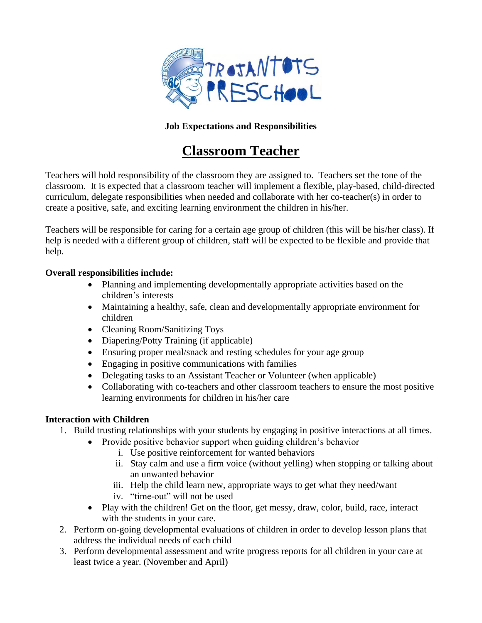

## **Job Expectations and Responsibilities**

# **Classroom Teacher**

Teachers will hold responsibility of the classroom they are assigned to. Teachers set the tone of the classroom. It is expected that a classroom teacher will implement a flexible, play-based, child-directed curriculum, delegate responsibilities when needed and collaborate with her co-teacher(s) in order to create a positive, safe, and exciting learning environment the children in his/her.

Teachers will be responsible for caring for a certain age group of children (this will be his/her class). If help is needed with a different group of children, staff will be expected to be flexible and provide that help.

#### **Overall responsibilities include:**

- Planning and implementing developmentally appropriate activities based on the children's interests
- Maintaining a healthy, safe, clean and developmentally appropriate environment for children
- Cleaning Room/Sanitizing Toys
- Diapering/Potty Training (if applicable)
- Ensuring proper meal/snack and resting schedules for your age group
- Engaging in positive communications with families
- Delegating tasks to an Assistant Teacher or Volunteer (when applicable)
- Collaborating with co-teachers and other classroom teachers to ensure the most positive learning environments for children in his/her care

## **Interaction with Children**

- 1. Build trusting relationships with your students by engaging in positive interactions at all times.
	- Provide positive behavior support when guiding children's behavior
		- i. Use positive reinforcement for wanted behaviors
		- ii. Stay calm and use a firm voice (without yelling) when stopping or talking about an unwanted behavior
		- iii. Help the child learn new, appropriate ways to get what they need/want
		- iv. "time-out" will not be used
	- Play with the children! Get on the floor, get messy, draw, color, build, race, interact with the students in your care.
- 2. Perform on-going developmental evaluations of children in order to develop lesson plans that address the individual needs of each child
- 3. Perform developmental assessment and write progress reports for all children in your care at least twice a year. (November and April)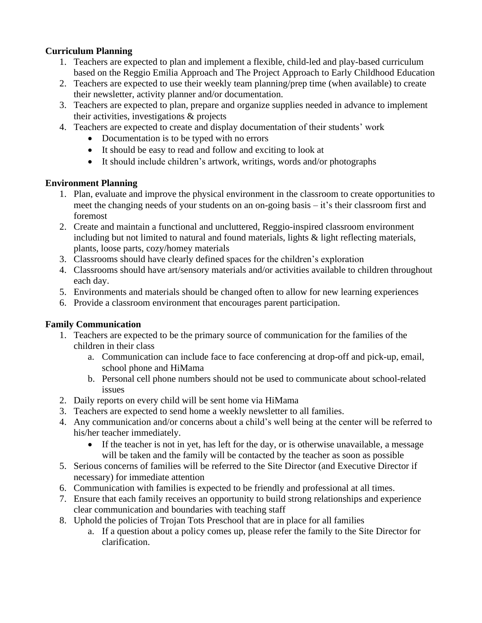#### **Curriculum Planning**

- 1. Teachers are expected to plan and implement a flexible, child-led and play-based curriculum based on the Reggio Emilia Approach and The Project Approach to Early Childhood Education
- 2. Teachers are expected to use their weekly team planning/prep time (when available) to create their newsletter, activity planner and/or documentation.
- 3. Teachers are expected to plan, prepare and organize supplies needed in advance to implement their activities, investigations & projects
- 4. Teachers are expected to create and display documentation of their students' work
	- Documentation is to be typed with no errors
	- It should be easy to read and follow and exciting to look at
	- It should include children's artwork, writings, words and/or photographs

#### **Environment Planning**

- 1. Plan, evaluate and improve the physical environment in the classroom to create opportunities to meet the changing needs of your students on an on-going basis – it's their classroom first and foremost
- 2. Create and maintain a functional and uncluttered, Reggio-inspired classroom environment including but not limited to natural and found materials, lights  $\&$  light reflecting materials, plants, loose parts, cozy/homey materials
- 3. Classrooms should have clearly defined spaces for the children's exploration
- 4. Classrooms should have art/sensory materials and/or activities available to children throughout each day.
- 5. Environments and materials should be changed often to allow for new learning experiences
- 6. Provide a classroom environment that encourages parent participation.

## **Family Communication**

- 1. Teachers are expected to be the primary source of communication for the families of the children in their class
	- a. Communication can include face to face conferencing at drop-off and pick-up, email, school phone and HiMama
	- b. Personal cell phone numbers should not be used to communicate about school-related issues
- 2. Daily reports on every child will be sent home via HiMama
- 3. Teachers are expected to send home a weekly newsletter to all families.
- 4. Any communication and/or concerns about a child's well being at the center will be referred to his/her teacher immediately.
	- If the teacher is not in yet, has left for the day, or is otherwise unavailable, a message will be taken and the family will be contacted by the teacher as soon as possible
- 5. Serious concerns of families will be referred to the Site Director (and Executive Director if necessary) for immediate attention
- 6. Communication with families is expected to be friendly and professional at all times.
- 7. Ensure that each family receives an opportunity to build strong relationships and experience clear communication and boundaries with teaching staff
- 8. Uphold the policies of Trojan Tots Preschool that are in place for all families
	- a. If a question about a policy comes up, please refer the family to the Site Director for clarification.